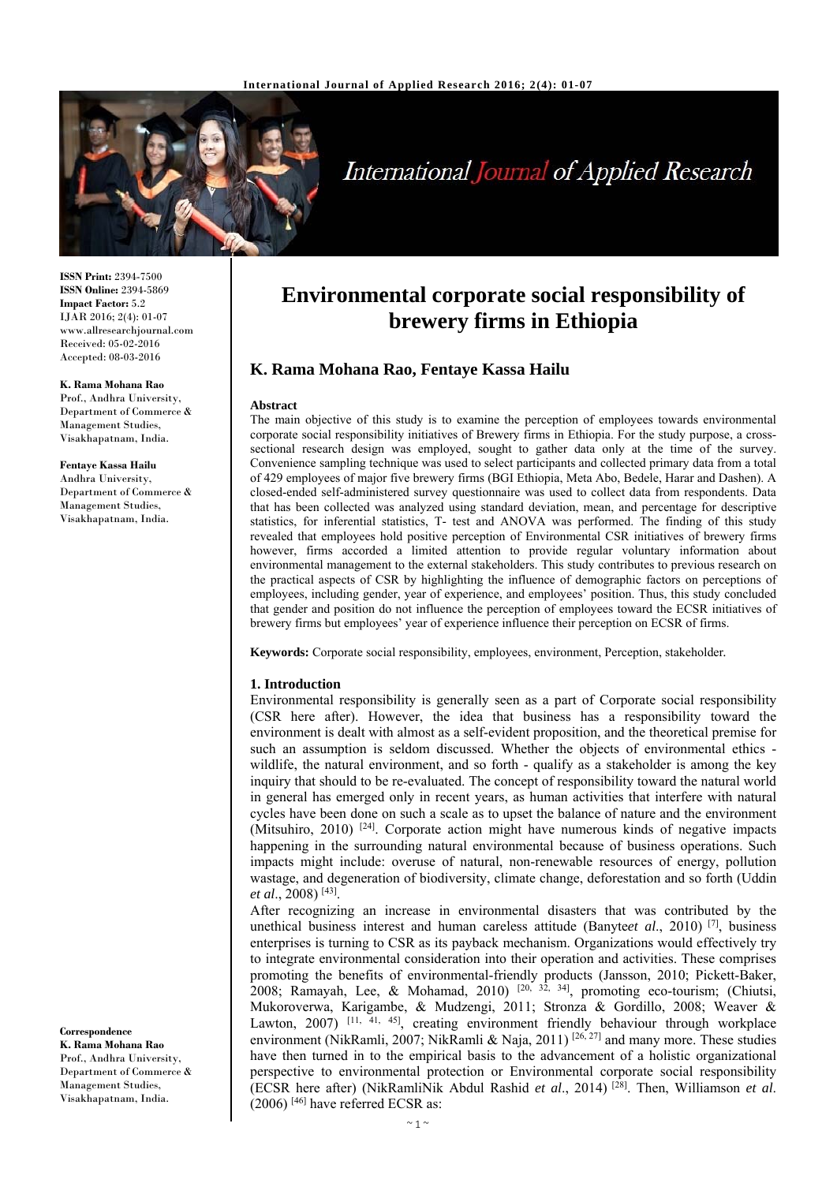

# International Journal of Applied Research

**ISSN Print:** 2394-7500 **ISSN Online:** 2394-5869 **Impact Factor:** 5.2 IJAR 2016; 2(4): 01-07 www.allresearchjournal.com Received: 05-02-2016 Accepted: 08-03-2016

#### **K. Rama Mohana Rao**

Prof., Andhra University, Department of Commerce & Management Studies, Visakhapatnam, India.

**Fentaye Kassa Hailu**  Andhra University, Department of Commerce & Management Studies, Visakhapatnam, India.

#### **Correspondence**

**K. Rama Mohana Rao**  Prof., Andhra University, Department of Commerce & Management Studies, Visakhapatnam, India.

## **Environmental corporate social responsibility of brewery firms in Ethiopia**

## **K. Rama Mohana Rao, Fentaye Kassa Hailu**

#### **Abstract**

The main objective of this study is to examine the perception of employees towards environmental corporate social responsibility initiatives of Brewery firms in Ethiopia. For the study purpose, a crosssectional research design was employed, sought to gather data only at the time of the survey. Convenience sampling technique was used to select participants and collected primary data from a total of 429 employees of major five brewery firms (BGI Ethiopia, Meta Abo, Bedele, Harar and Dashen). A closed-ended self-administered survey questionnaire was used to collect data from respondents. Data that has been collected was analyzed using standard deviation, mean, and percentage for descriptive statistics, for inferential statistics, T- test and ANOVA was performed. The finding of this study revealed that employees hold positive perception of Environmental CSR initiatives of brewery firms however, firms accorded a limited attention to provide regular voluntary information about environmental management to the external stakeholders. This study contributes to previous research on the practical aspects of CSR by highlighting the influence of demographic factors on perceptions of employees, including gender, year of experience, and employees' position. Thus, this study concluded that gender and position do not influence the perception of employees toward the ECSR initiatives of brewery firms but employees' year of experience influence their perception on ECSR of firms.

**Keywords:** Corporate social responsibility, employees, environment, Perception, stakeholder*.*

#### **1. Introduction**

Environmental responsibility is generally seen as a part of Corporate social responsibility (CSR here after). However, the idea that business has a responsibility toward the environment is dealt with almost as a self-evident proposition, and the theoretical premise for such an assumption is seldom discussed. Whether the objects of environmental ethics wildlife, the natural environment, and so forth - qualify as a stakeholder is among the key inquiry that should to be re-evaluated. The concept of responsibility toward the natural world in general has emerged only in recent years, as human activities that interfere with natural cycles have been done on such a scale as to upset the balance of nature and the environment (Mitsuhiro, 2010)  $[24]$ . Corporate action might have numerous kinds of negative impacts happening in the surrounding natural environmental because of business operations. Such impacts might include: overuse of natural, non-renewable resources of energy, pollution wastage, and degeneration of biodiversity, climate change, deforestation and so forth (Uddin *et al*., 2008) [43].

After recognizing an increase in environmental disasters that was contributed by the unethical business interest and human careless attitude (Banyte*et al*., 2010) [7], business enterprises is turning to CSR as its payback mechanism. Organizations would effectively try to integrate environmental consideration into their operation and activities. These comprises promoting the benefits of environmental-friendly products (Jansson, 2010; Pickett-Baker, 2008; Ramayah, Lee, & Mohamad, 2010)  $[20, 32, 34]$ , promoting eco-tourism; (Chiutsi, Mukoroverwa, Karigambe, & Mudzengi, 2011; Stronza & Gordillo, 2008; Weaver & Lawton,  $2007$ )  $[11, 41, 45]$ , creating environment friendly behaviour through workplace environment (NikRamli, 2007; NikRamli & Naja, 2011) [26, 27] and many more. These studies have then turned in to the empirical basis to the advancement of a holistic organizational perspective to environmental protection or Environmental corporate social responsibility (ECSR here after) (NikRamliNik Abdul Rashid *et al*., 2014) [28]. Then, Williamson *et al*.  $(2006)$ <sup>[46]</sup> have referred ECSR as: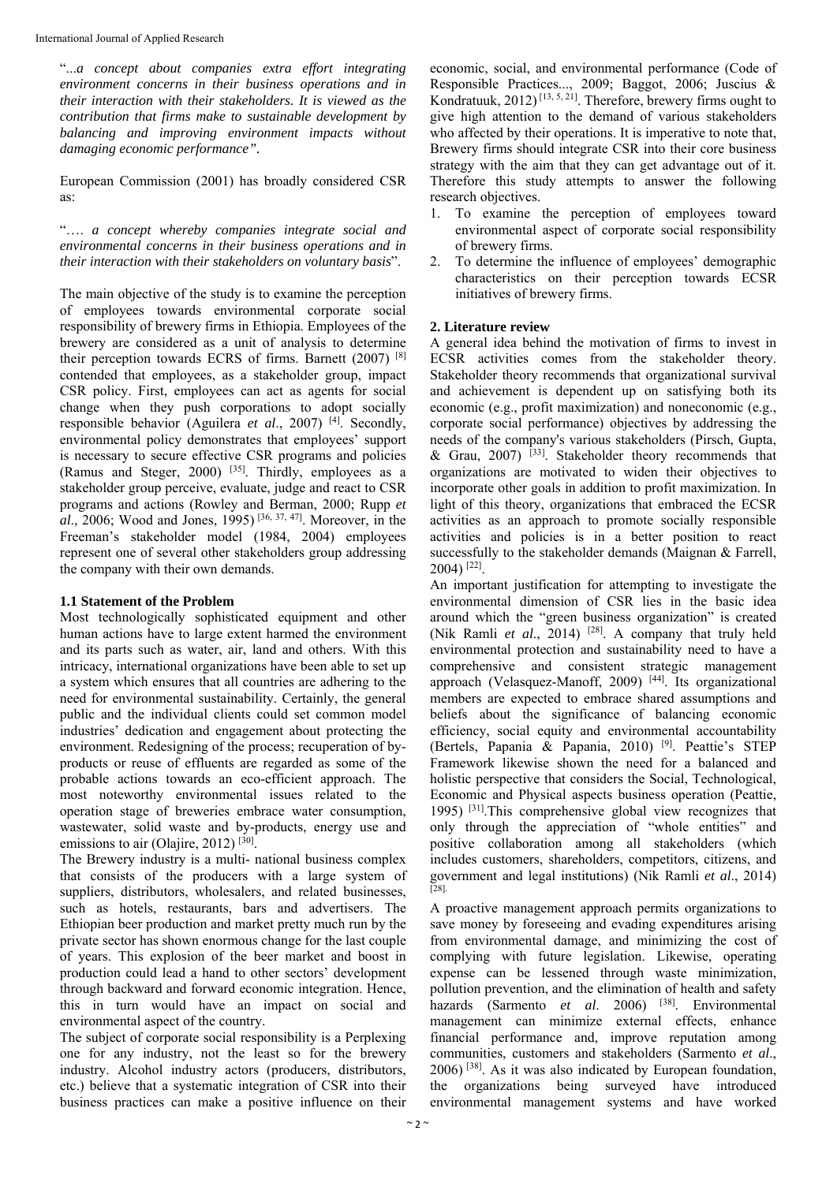International Journal of Applied Research

"...*a concept about companies extra effort integrating environment concerns in their business operations and in their interaction with their stakeholders. It is viewed as the contribution that firms make to sustainable development by balancing and improving environment impacts without damaging economic performance".* 

European Commission (2001) has broadly considered CSR as:

"…. *a concept whereby companies integrate social and environmental concerns in their business operations and in their interaction with their stakeholders on voluntary basis*".

The main objective of the study is to examine the perception of employees towards environmental corporate social responsibility of brewery firms in Ethiopia. Employees of the brewery are considered as a unit of analysis to determine their perception towards ECRS of firms. Barnett (2007) [8] contended that employees, as a stakeholder group, impact CSR policy. First, employees can act as agents for social change when they push corporations to adopt socially responsible behavior (Aguilera *et al*., 2007) [4]. Secondly, environmental policy demonstrates that employees' support is necessary to secure effective CSR programs and policies (Ramus and Steger, 2000) [35]. Thirdly, employees as a stakeholder group perceive, evaluate, judge and react to CSR programs and actions (Rowley and Berman, 2000; Rupp *et al*., 2006; Wood and Jones, 1995) [36, 37, 47]. Moreover, in the Freeman's stakeholder model (1984, 2004) employees represent one of several other stakeholders group addressing the company with their own demands.

## **1.1 Statement of the Problem**

Most technologically sophisticated equipment and other human actions have to large extent harmed the environment and its parts such as water, air, land and others. With this intricacy, international organizations have been able to set up a system which ensures that all countries are adhering to the need for environmental sustainability. Certainly, the general public and the individual clients could set common model industries' dedication and engagement about protecting the environment. Redesigning of the process; recuperation of byproducts or reuse of effluents are regarded as some of the probable actions towards an eco-efficient approach. The most noteworthy environmental issues related to the operation stage of breweries embrace water consumption, wastewater, solid waste and by-products, energy use and emissions to air (Olajire, 2012)<sup>[30]</sup>.

The Brewery industry is a multi- national business complex that consists of the producers with a large system of suppliers, distributors, wholesalers, and related businesses, such as hotels, restaurants, bars and advertisers. The Ethiopian beer production and market pretty much run by the private sector has shown enormous change for the last couple of years. This explosion of the beer market and boost in production could lead a hand to other sectors' development through backward and forward economic integration. Hence, this in turn would have an impact on social and environmental aspect of the country.

The subject of corporate social responsibility is a Perplexing one for any industry, not the least so for the brewery industry. Alcohol industry actors (producers, distributors, etc.) believe that a systematic integration of CSR into their business practices can make a positive influence on their

economic, social, and environmental performance (Code of Responsible Practices..., 2009; Baggot, 2006; Juscius & Kondratuuk, 2012)<sup>[13, 5, 21]</sup>. Therefore, brewery firms ought to give high attention to the demand of various stakeholders who affected by their operations. It is imperative to note that, Brewery firms should integrate CSR into their core business strategy with the aim that they can get advantage out of it. Therefore this study attempts to answer the following research objectives.

- 1. To examine the perception of employees toward environmental aspect of corporate social responsibility of brewery firms.
- 2. To determine the influence of employees' demographic characteristics on their perception towards ECSR initiatives of brewery firms.

## **2. Literature review**

A general idea behind the motivation of firms to invest in ECSR activities comes from the stakeholder theory. Stakeholder theory recommends that organizational survival and achievement is dependent up on satisfying both its economic (e.g., profit maximization) and noneconomic (e.g., corporate social performance) objectives by addressing the needs of the company's various stakeholders (Pirsch, Gupta, & Grau, 2007)  $^{[33]}$ . Stakeholder theory recommends that organizations are motivated to widen their objectives to incorporate other goals in addition to profit maximization. In light of this theory, organizations that embraced the ECSR activities as an approach to promote socially responsible activities and policies is in a better position to react successfully to the stakeholder demands (Maignan & Farrell, 2004) [22].

An important justification for attempting to investigate the environmental dimension of CSR lies in the basic idea around which the "green business organization" is created (Nik Ramli *et al*., 2014) [28]. A company that truly held environmental protection and sustainability need to have a comprehensive and consistent strategic management approach (Velasquez-Manoff, 2009)  $[44]$ . Its organizational members are expected to embrace shared assumptions and beliefs about the significance of balancing economic efficiency, social equity and environmental accountability (Bertels, Papania & Papania, 2010) [9]. Peattie's STEP Framework likewise shown the need for a balanced and holistic perspective that considers the Social, Technological, Economic and Physical aspects business operation (Peattie, 1995) [31].This comprehensive global view recognizes that only through the appreciation of "whole entities" and positive collaboration among all stakeholders (which includes customers, shareholders, competitors, citizens, and government and legal institutions) (Nik Ramli *et al*., 2014) [28].

A proactive management approach permits organizations to save money by foreseeing and evading expenditures arising from environmental damage, and minimizing the cost of complying with future legislation. Likewise, operating expense can be lessened through waste minimization, pollution prevention, and the elimination of health and safety hazards (Sarmento *et al.* 2006) <sup>[38]</sup>. Environmental management can minimize external effects, enhance financial performance and, improve reputation among communities, customers and stakeholders (Sarmento *et al*., 2006) [38]. As it was also indicated by European foundation, the organizations being surveyed have introduced environmental management systems and have worked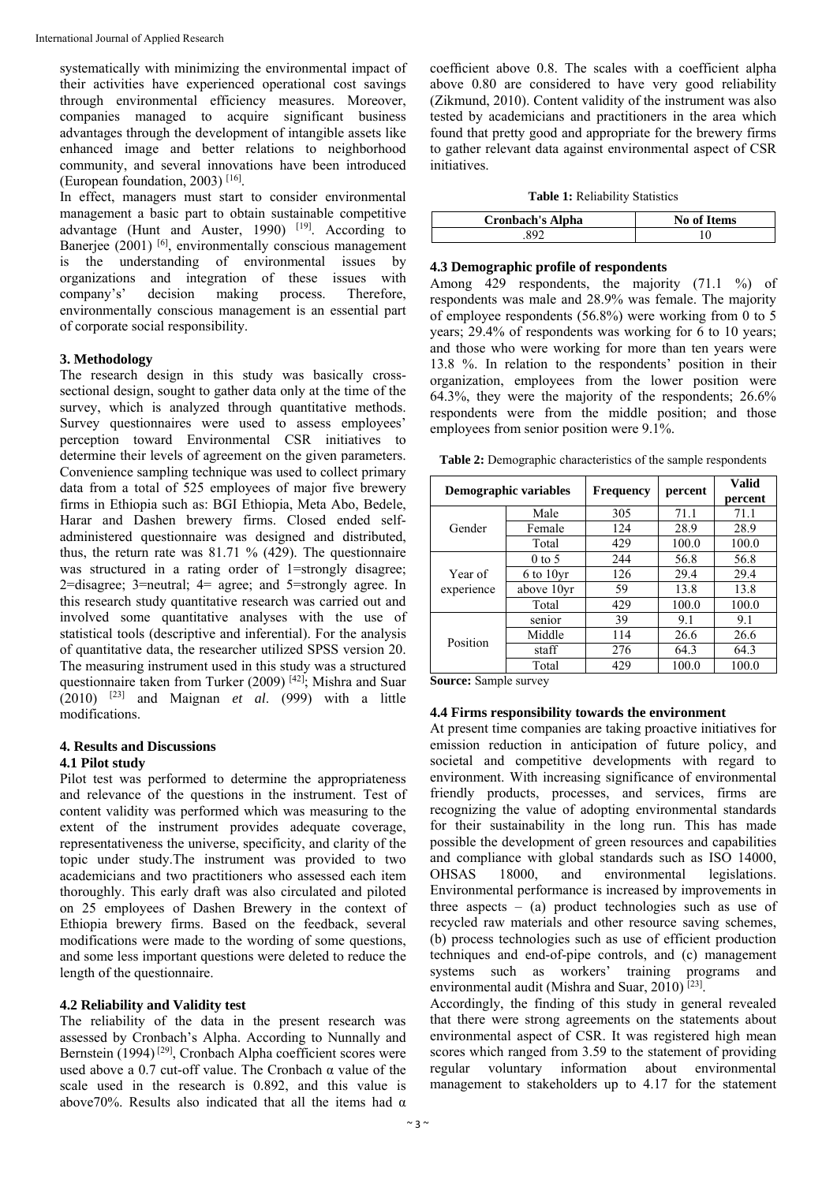systematically with minimizing the environmental impact of their activities have experienced operational cost savings through environmental efficiency measures. Moreover, companies managed to acquire significant business advantages through the development of intangible assets like enhanced image and better relations to neighborhood community, and several innovations have been introduced (European foundation, 2003) [16].

In effect, managers must start to consider environmental management a basic part to obtain sustainable competitive advantage (Hunt and Auster, 1990)  $[19]$ . According to Banerjee (2001) <sup>[6]</sup>, environmentally conscious management is the understanding of environmental issues by organizations and integration of these issues with company's' decision making process. Therefore, environmentally conscious management is an essential part of corporate social responsibility.

#### **3. Methodology**

The research design in this study was basically crosssectional design, sought to gather data only at the time of the survey, which is analyzed through quantitative methods. Survey questionnaires were used to assess employees' perception toward Environmental CSR initiatives to determine their levels of agreement on the given parameters. Convenience sampling technique was used to collect primary data from a total of 525 employees of major five brewery firms in Ethiopia such as: BGI Ethiopia, Meta Abo, Bedele, Harar and Dashen brewery firms. Closed ended selfadministered questionnaire was designed and distributed, thus, the return rate was  $81.71\%$  (429). The questionnaire was structured in a rating order of 1=strongly disagree; 2=disagree; 3=neutral; 4= agree; and 5=strongly agree. In this research study quantitative research was carried out and involved some quantitative analyses with the use of statistical tools (descriptive and inferential). For the analysis of quantitative data, the researcher utilized SPSS version 20. The measuring instrument used in this study was a structured questionnaire taken from Turker (2009) [42]; Mishra and Suar (2010) [23] and Maignan *et al*. (999) with a little modifications.

## **4. Results and Discussions**

#### **4.1 Pilot study**

Pilot test was performed to determine the appropriateness and relevance of the questions in the instrument. Test of content validity was performed which was measuring to the extent of the instrument provides adequate coverage, representativeness the universe, specificity, and clarity of the topic under study.The instrument was provided to two academicians and two practitioners who assessed each item thoroughly. This early draft was also circulated and piloted on 25 employees of Dashen Brewery in the context of Ethiopia brewery firms. Based on the feedback, several modifications were made to the wording of some questions, and some less important questions were deleted to reduce the length of the questionnaire.

#### **4.2 Reliability and Validity test**

The reliability of the data in the present research was assessed by Cronbach's Alpha. According to Nunnally and Bernstein (1994)<sup>[29]</sup>, Cronbach Alpha coefficient scores were used above a 0.7 cut-off value. The Cronbach  $\alpha$  value of the scale used in the research is 0.892, and this value is above70%. Results also indicated that all the items had  $\alpha$ 

coefficient above 0.8. The scales with a coefficient alpha above 0.80 are considered to have very good reliability (Zikmund, 2010). Content validity of the instrument was also tested by academicians and practitioners in the area which found that pretty good and appropriate for the brewery firms to gather relevant data against environmental aspect of CSR initiatives.

#### **Table 1:** Reliability Statistics

| <b>Cronbach's Alpha</b> | <b>No of Items</b> |
|-------------------------|--------------------|
| ≀Q′                     |                    |

#### **4.3 Demographic profile of respondents**

Among 429 respondents, the majority (71.1 %) of respondents was male and 28.9% was female. The majority of employee respondents (56.8%) were working from 0 to 5 years:  $29.4\%$  of respondents was working for 6 to 10 years; and those who were working for more than ten years were 13.8 %. In relation to the respondents' position in their organization, employees from the lower position were 64.3%, they were the majority of the respondents; 26.6% respondents were from the middle position; and those employees from senior position were 9.1%.

**Table 2:** Demographic characteristics of the sample respondents

| Demographic variables |               | <b>Frequency</b> | percent | Valid<br>percent |  |
|-----------------------|---------------|------------------|---------|------------------|--|
|                       | Male          | 305              | 71.1    | 71.1             |  |
| Gender                | Female        | 124              | 28.9    | 28.9             |  |
|                       | Total         | 429              | 100.0   | 100.0            |  |
| Year of<br>experience | $0$ to 5      | 244              | 56.8    | 56.8             |  |
|                       | $6$ to $10yr$ | 126              | 29.4    | 29.4             |  |
|                       | above 10yr    | 59               | 13.8    | 13.8             |  |
|                       | Total         | 429              | 100.0   | 100.0            |  |
| Position              | senior        | 39               | 9.1     | 9.1              |  |
|                       | Middle        | 114              | 26.6    | 26.6             |  |
|                       | staff         | 276              | 64.3    | 64.3             |  |
|                       | Total         | 429              | 100.0   | 100.0            |  |

**Source:** Sample survey

#### **4.4 Firms responsibility towards the environment**

At present time companies are taking proactive initiatives for emission reduction in anticipation of future policy, and societal and competitive developments with regard to environment. With increasing significance of environmental friendly products, processes, and services, firms are recognizing the value of adopting environmental standards for their sustainability in the long run. This has made possible the development of green resources and capabilities and compliance with global standards such as ISO 14000, OHSAS 18000, and environmental legislations. Environmental performance is increased by improvements in three aspects – (a) product technologies such as use of recycled raw materials and other resource saving schemes, (b) process technologies such as use of efficient production techniques and end-of-pipe controls, and (c) management systems such as workers' training programs and environmental audit (Mishra and Suar, 2010)<sup>[23]</sup>.

Accordingly, the finding of this study in general revealed that there were strong agreements on the statements about environmental aspect of CSR. It was registered high mean scores which ranged from 3.59 to the statement of providing regular voluntary information about environmental management to stakeholders up to 4.17 for the statement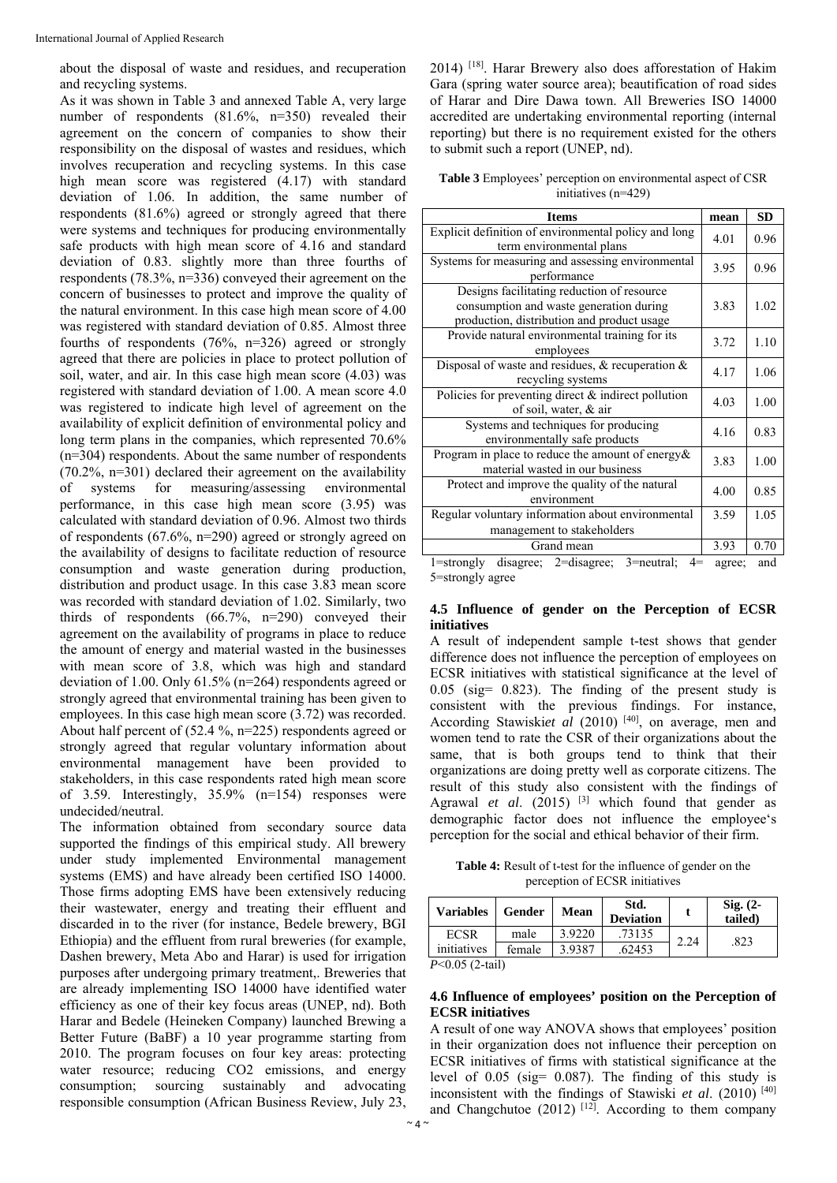about the disposal of waste and residues, and recuperation and recycling systems.

As it was shown in Table 3 and annexed Table A, very large number of respondents (81.6%, n=350) revealed their agreement on the concern of companies to show their responsibility on the disposal of wastes and residues, which involves recuperation and recycling systems. In this case high mean score was registered (4.17) with standard deviation of 1.06. In addition, the same number of respondents (81.6%) agreed or strongly agreed that there were systems and techniques for producing environmentally safe products with high mean score of 4.16 and standard deviation of 0.83. slightly more than three fourths of respondents (78.3%, n=336) conveyed their agreement on the concern of businesses to protect and improve the quality of the natural environment. In this case high mean score of 4.00 was registered with standard deviation of 0.85. Almost three fourths of respondents (76%, n=326) agreed or strongly agreed that there are policies in place to protect pollution of soil, water, and air. In this case high mean score (4.03) was registered with standard deviation of 1.00. A mean score 4.0 was registered to indicate high level of agreement on the availability of explicit definition of environmental policy and long term plans in the companies, which represented 70.6% (n=304) respondents. About the same number of respondents  $(70.2\% \text{ m} = 301)$  declared their agreement on the availability of systems for measuring/assessing environmental performance, in this case high mean score (3.95) was calculated with standard deviation of 0.96. Almost two thirds of respondents (67.6%, n=290) agreed or strongly agreed on the availability of designs to facilitate reduction of resource consumption and waste generation during production, distribution and product usage. In this case 3.83 mean score was recorded with standard deviation of 1.02. Similarly, two thirds of respondents (66.7%, n=290) conveyed their agreement on the availability of programs in place to reduce the amount of energy and material wasted in the businesses with mean score of 3.8, which was high and standard deviation of 1.00. Only 61.5% (n=264) respondents agreed or strongly agreed that environmental training has been given to employees. In this case high mean score (3.72) was recorded. About half percent of (52.4 %, n=225) respondents agreed or strongly agreed that regular voluntary information about environmental management have been provided to stakeholders, in this case respondents rated high mean score of 3.59. Interestingly, 35.9% (n=154) responses were undecided/neutral.

The information obtained from secondary source data supported the findings of this empirical study. All brewery under study implemented Environmental management systems (EMS) and have already been certified ISO 14000. Those firms adopting EMS have been extensively reducing their wastewater, energy and treating their effluent and discarded in to the river (for instance, Bedele brewery, BGI Ethiopia) and the effluent from rural breweries (for example, Dashen brewery, Meta Abo and Harar) is used for irrigation purposes after undergoing primary treatment,. Breweries that are already implementing ISO 14000 have identified water efficiency as one of their key focus areas (UNEP, nd). Both Harar and Bedele (Heineken Company) launched Brewing a Better Future (BaBF) a 10 year programme starting from 2010. The program focuses on four key areas: protecting water resource; reducing CO2 emissions, and energy consumption; sourcing sustainably and advocating responsible consumption (African Business Review, July 23,

2014) [18]. Harar Brewery also does afforestation of Hakim Gara (spring water source area); beautification of road sides of Harar and Dire Dawa town. All Breweries ISO 14000 accredited are undertaking environmental reporting (internal reporting) but there is no requirement existed for the others to submit such a report (UNEP, nd).

**Table 3** Employees' perception on environmental aspect of CSR initiatives (n=429)

| <b>Items</b>                                                                                                                        | mean   | <b>SD</b> |
|-------------------------------------------------------------------------------------------------------------------------------------|--------|-----------|
| Explicit definition of environmental policy and long<br>term environmental plans                                                    | 4.01   | 0.96      |
| Systems for measuring and assessing environmental<br>performance                                                                    | 3.95   | 0.96      |
| Designs facilitating reduction of resource<br>consumption and waste generation during<br>production, distribution and product usage | 3.83   | 1.02      |
| Provide natural environmental training for its<br>employees                                                                         | 3.72   | 1.10      |
| Disposal of waste and residues, $\&$ recuperation $\&$<br>recycling systems                                                         | 4.17   | 1.06      |
| Policies for preventing direct $\&$ indirect pollution<br>of soil, water, & air                                                     | 4.03   | 1.00      |
| Systems and techniques for producing<br>environmentally safe products                                                               | 4.16   | 0.83      |
| Program in place to reduce the amount of energy $\&$<br>material wasted in our business                                             | 3.83   | 1.00      |
| Protect and improve the quality of the natural<br>environment                                                                       | 4.00   | 0.85      |
| Regular voluntary information about environmental<br>management to stakeholders                                                     | 3.59   | 1.05      |
| Grand mean                                                                                                                          | 3.93   | 0.70      |
| disagree; 2=disagree; 3=neutral;<br>$4=$<br>$1 =$ strongly                                                                          | agree; | and       |

5=strongly agree

#### **4.5 Influence of gender on the Perception of ECSR initiatives**

A result of independent sample t-test shows that gender difference does not influence the perception of employees on ECSR initiatives with statistical significance at the level of 0.05 (sig= 0.823). The finding of the present study is consistent with the previous findings. For instance, According Stawiskiet al (2010)<sup>[40]</sup>, on average, men and women tend to rate the CSR of their organizations about the same, that is both groups tend to think that their organizations are doing pretty well as corporate citizens. The result of this study also consistent with the findings of Agrawal *et al.* (2015) <sup>[3]</sup> which found that gender as demographic factor does not influence the employee's perception for the social and ethical behavior of their firm.

**Table 4:** Result of t-test for the influence of gender on the perception of ECSR initiatives

| <b>Variables</b>  | Gender | <b>Mean</b> | Std.<br><b>Deviation</b> |      | $Sig. (2-$<br>tailed) |  |
|-------------------|--------|-------------|--------------------------|------|-----------------------|--|
| <b>ECSR</b>       | male   | 3.9220      | .73135                   | 2.24 | .823                  |  |
| initiatives       | female | 3.9387      | .62453                   |      |                       |  |
| $P<0.05$ (2-tail) |        |             |                          |      |                       |  |

## **4.6 Influence of employees' position on the Perception of ECSR initiatives**

A result of one way ANOVA shows that employees' position in their organization does not influence their perception on ECSR initiatives of firms with statistical significance at the level of 0.05 (sig= 0.087). The finding of this study is inconsistent with the findings of Stawiski *et al*. (2010) [40] and Changchutoe  $(2012)$ <sup>[12]</sup>. According to them company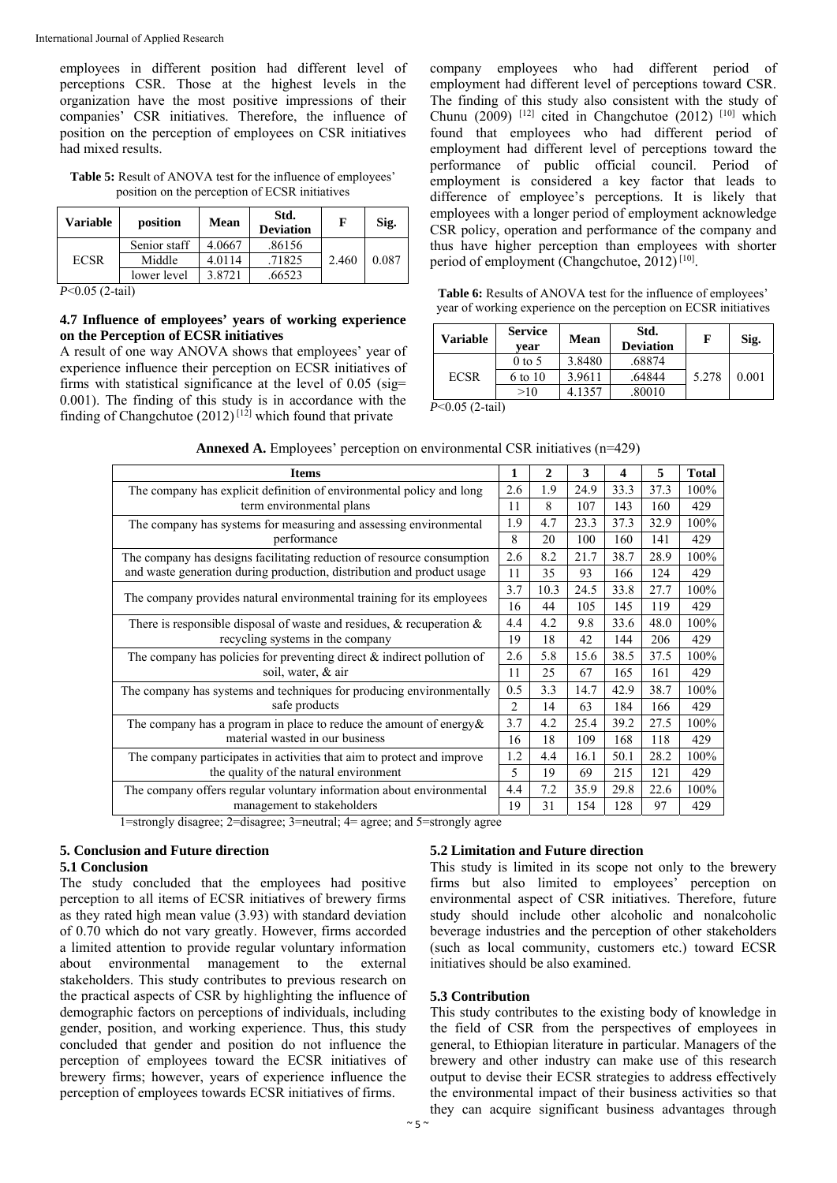employees in different position had different level of perceptions CSR. Those at the highest levels in the organization have the most positive impressions of their companies' CSR initiatives. Therefore, the influence of position on the perception of employees on CSR initiatives had mixed results.

**Table 5:** Result of ANOVA test for the influence of employees' position on the perception of ECSR initiatives

| Variable    | position     | Mean   | Std.<br><b>Deviation</b> | F     | Sig.  |
|-------------|--------------|--------|--------------------------|-------|-------|
|             | Senior staff | 4.0667 | .86156                   |       | 0.087 |
| <b>ECSR</b> | Middle       | 4.0114 | .71825                   | 2.460 |       |
|             | lower level  | 3.8721 | .66523                   |       |       |

*P*<0.05 (2-tail)

#### **4.7 Influence of employees' years of working experience on the Perception of ECSR initiatives**

A result of one way ANOVA shows that employees' year of experience influence their perception on ECSR initiatives of firms with statistical significance at the level of 0.05 (sig= 0.001). The finding of this study is in accordance with the finding of Changchutoe  $(2012)$ <sup>[12]</sup> which found that private

company employees who had different period of employment had different level of perceptions toward CSR. The finding of this study also consistent with the study of Chunu (2009) <sup>[12]</sup> cited in Changchutoe (2012) <sup>[10]</sup> which found that employees who had different period of employment had different level of perceptions toward the performance of public official council. Period of employment is considered a key factor that leads to difference of employee's perceptions. It is likely that employees with a longer period of employment acknowledge CSR policy, operation and performance of the company and thus have higher perception than employees with shorter period of employment (Changchutoe, 2012) [10].

**Table 6:** Results of ANOVA test for the influence of employees' year of working experience on the perception on ECSR initiatives

| <b>Variable</b> | <b>Service</b><br>vear | Mean   | Std.<br><b>Deviation</b> | F     | Sig.  |  |
|-----------------|------------------------|--------|--------------------------|-------|-------|--|
|                 | $0$ to 5               | 3.8480 | .68874                   |       | 0.001 |  |
| <b>ECSR</b>     | 6 to 10                | 3.9611 | .64844                   | 5.278 |       |  |
|                 | >10                    | 4.1357 | .80010                   |       |       |  |

*P*<0.05 (2-tail)

| <b>Items</b>                                                                                              | 1   | 2    | 3    | 4    | 5    | <b>Total</b> |  |
|-----------------------------------------------------------------------------------------------------------|-----|------|------|------|------|--------------|--|
| The company has explicit definition of environmental policy and long                                      |     | 1.9  | 24.9 | 33.3 | 37.3 | 100%         |  |
| term environmental plans                                                                                  | 11  | 8    | 107  | 143  | 160  | 429          |  |
| The company has systems for measuring and assessing environmental                                         | 1.9 | 4.7  | 23.3 | 37.3 | 32.9 | 100%         |  |
| performance                                                                                               | 8   | 20   | 100  | 160  | 141  | 429          |  |
| The company has designs facilitating reduction of resource consumption                                    | 2.6 | 8.2  | 21.7 | 38.7 | 28.9 | 100%         |  |
| and waste generation during production, distribution and product usage                                    | 11  | 35   | 93   | 166  | 124  | 429          |  |
|                                                                                                           |     | 10.3 | 24.5 | 33.8 | 27.7 | 100%         |  |
| The company provides natural environmental training for its employees                                     | 16  | 44   | 105  | 145  | 119  | 429          |  |
| There is responsible disposal of waste and residues, $\&$ recuperation $\&$                               | 4.4 | 4.2  | 9.8  | 33.6 | 48.0 | 100%         |  |
| recycling systems in the company                                                                          |     | 18   | 42   | 144  | 206  | 429          |  |
| The company has policies for preventing direct $\&$ indirect pollution of                                 | 2.6 | 5.8  | 15.6 | 38.5 | 37.5 | 100%         |  |
| soil, water, & air                                                                                        |     | 25   | 67   | 165  | 161  | 429          |  |
| The company has systems and techniques for producing environmentally<br>safe products                     |     | 3.3  | 14.7 | 42.9 | 38.7 | 100%         |  |
|                                                                                                           |     | 14   | 63   | 184  | 166  | 429          |  |
| The company has a program in place to reduce the amount of energy $\&$<br>material wasted in our business |     | 4.2  | 25.4 | 39.2 | 27.5 | 100%         |  |
|                                                                                                           |     | 18   | 109  | 168  | 118  | 429          |  |
| The company participates in activities that aim to protect and improve                                    | 1.2 | 4.4  | 16.1 | 50.1 | 28.2 | 100%         |  |
| the quality of the natural environment                                                                    |     | 19   | 69   | 215  | 121  | 429          |  |
| The company offers regular voluntary information about environmental                                      |     | 7.2  | 35.9 | 29.8 | 22.6 | 100%         |  |
| management to stakeholders                                                                                | 19  | 31   | 154  | 128  | 97   | 429          |  |

Annexed A. Employees' perception on environmental CSR initiatives (n=429)

1=strongly disagree; 2=disagree; 3=neutral; 4= agree; and 5=strongly agree

#### **5. Conclusion and Future direction 5.1 Conclusion**

The study concluded that the employees had positive perception to all items of ECSR initiatives of brewery firms as they rated high mean value (3.93) with standard deviation of 0.70 which do not vary greatly. However, firms accorded a limited attention to provide regular voluntary information about environmental management to the external stakeholders. This study contributes to previous research on the practical aspects of CSR by highlighting the influence of demographic factors on perceptions of individuals, including gender, position, and working experience. Thus, this study concluded that gender and position do not influence the perception of employees toward the ECSR initiatives of brewery firms; however, years of experience influence the perception of employees towards ECSR initiatives of firms.

## **5.2 Limitation and Future direction**

This study is limited in its scope not only to the brewery firms but also limited to employees' perception on environmental aspect of CSR initiatives. Therefore, future study should include other alcoholic and nonalcoholic beverage industries and the perception of other stakeholders (such as local community, customers etc.) toward ECSR initiatives should be also examined.

#### **5.3 Contribution**

This study contributes to the existing body of knowledge in the field of CSR from the perspectives of employees in general, to Ethiopian literature in particular. Managers of the brewery and other industry can make use of this research output to devise their ECSR strategies to address effectively the environmental impact of their business activities so that they can acquire significant business advantages through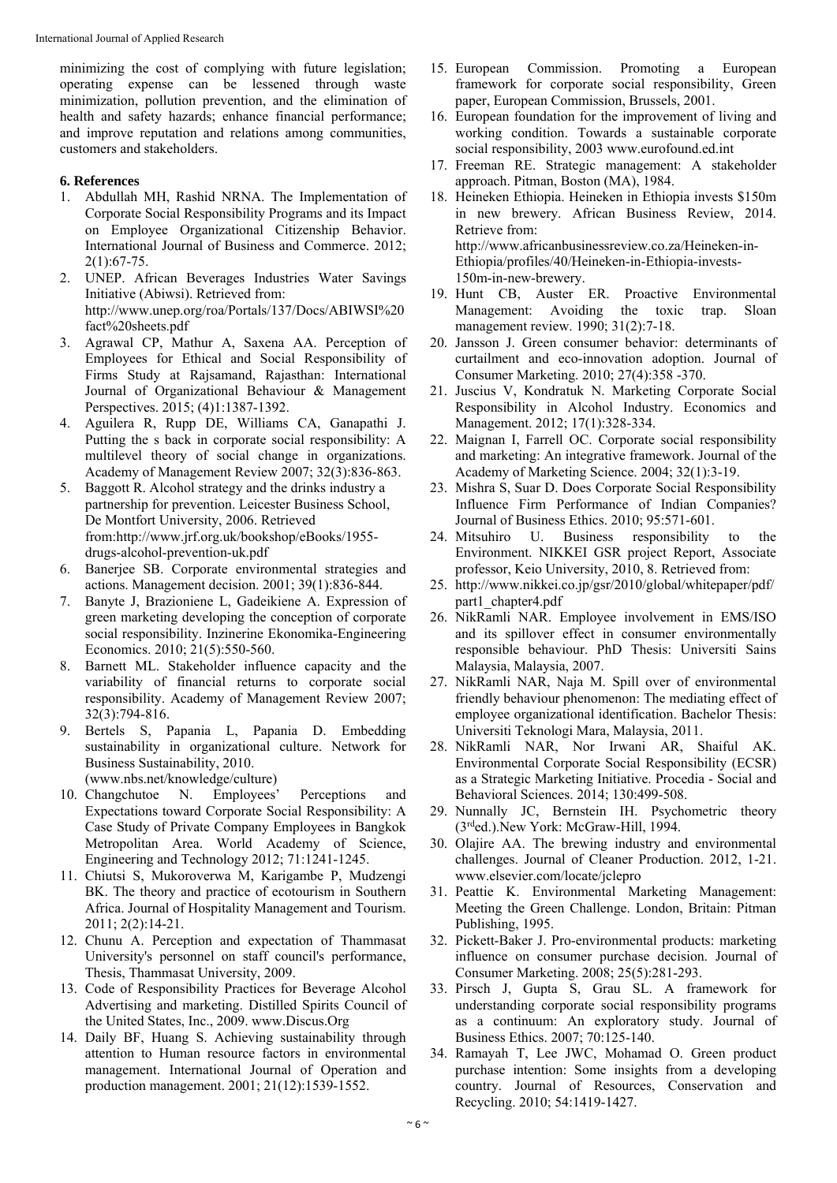minimizing the cost of complying with future legislation; operating expense can be lessened through waste minimization, pollution prevention, and the elimination of health and safety hazards; enhance financial performance; and improve reputation and relations among communities, customers and stakeholders.

#### **6. References**

- 1. Abdullah MH, Rashid NRNA. The Implementation of Corporate Social Responsibility Programs and its Impact on Employee Organizational Citizenship Behavior. International Journal of Business and Commerce. 2012; 2(1):67-75.
- 2. UNEP. African Beverages Industries Water Savings Initiative (Abiwsi). Retrieved from: http://www.unep.org/roa/Portals/137/Docs/ABIWSI%20 fact%20sheets.pdf
- 3. Agrawal CP, Mathur A, Saxena AA. Perception of Employees for Ethical and Social Responsibility of Firms Study at Rajsamand, Rajasthan: International Journal of Organizational Behaviour & Management Perspectives. 2015; (4)1:1387-1392.
- 4. Aguilera R, Rupp DE, Williams CA, Ganapathi J. Putting the s back in corporate social responsibility: A multilevel theory of social change in organizations. Academy of Management Review 2007; 32(3):836-863.
- 5. Baggott R. Alcohol strategy and the drinks industry a partnership for prevention. Leicester Business School, De Montfort University, 2006. Retrieved from:http://www.jrf.org.uk/bookshop/eBooks/1955 drugs-alcohol-prevention-uk.pdf
- 6. Banerjee SB. Corporate environmental strategies and actions. Management decision. 2001; 39(1):836-844.
- 7. Banyte J, Brazioniene L, Gadeikiene A. Expression of green marketing developing the conception of corporate social responsibility. Inzinerine Ekonomika-Engineering Economics. 2010; 21(5):550-560.
- 8. Barnett ML. Stakeholder influence capacity and the variability of financial returns to corporate social responsibility. Academy of Management Review 2007; 32(3):794-816.
- 9. Bertels S, Papania L, Papania D. Embedding sustainability in organizational culture. Network for Business Sustainability, 2010.

(www.nbs.net/knowledge/culture)

- 10. Changchutoe N. Employees' Perceptions and Expectations toward Corporate Social Responsibility: A Case Study of Private Company Employees in Bangkok Metropolitan Area. World Academy of Science, Engineering and Technology 2012; 71:1241-1245.
- 11. Chiutsi S, Mukoroverwa M, Karigambe P, Mudzengi BK. The theory and practice of ecotourism in Southern Africa. Journal of Hospitality Management and Tourism. 2011; 2(2):14-21.
- 12. Chunu A. Perception and expectation of Thammasat University's personnel on staff council's performance, Thesis, Thammasat University, 2009.
- 13. Code of Responsibility Practices for Beverage Alcohol Advertising and marketing. Distilled Spirits Council of the United States, Inc., 2009. www.Discus.Org
- 14. Daily BF, Huang S. Achieving sustainability through attention to Human resource factors in environmental management. International Journal of Operation and production management. 2001; 21(12):1539-1552.
- 15. European Commission. Promoting a European framework for corporate social responsibility, Green paper, European Commission, Brussels, 2001.
- 16. European foundation for the improvement of living and working condition. Towards a sustainable corporate social responsibility, 2003 www.eurofound.ed.int
- 17. Freeman RE. Strategic management: A stakeholder approach. Pitman, Boston (MA), 1984.
- 18. Heineken Ethiopia. Heineken in Ethiopia invests \$150m in new brewery. African Business Review, 2014. Retrieve from: http://www.africanbusinessreview.co.za/Heineken-in-Ethiopia/profiles/40/Heineken-in-Ethiopia-invests-150m-in-new-brewery.
- 19. Hunt CB, Auster ER. Proactive Environmental Management: Avoiding the toxic trap. Sloan management review. 1990; 31(2):7-18.
- 20. Jansson J. Green consumer behavior: determinants of curtailment and eco-innovation adoption. Journal of Consumer Marketing. 2010; 27(4):358 -370.
- 21. Juscius V, Kondratuk N. Marketing Corporate Social Responsibility in Alcohol Industry. Economics and Management. 2012; 17(1):328-334.
- 22. Maignan I, Farrell OC. Corporate social responsibility and marketing: An integrative framework. Journal of the Academy of Marketing Science. 2004; 32(1):3-19.
- 23. Mishra S, Suar D. Does Corporate Social Responsibility Influence Firm Performance of Indian Companies? Journal of Business Ethics. 2010; 95:571-601.
- 24. Mitsuhiro U. Business responsibility to the Environment. NIKKEI GSR project Report, Associate professor, Keio University, 2010, 8. Retrieved from:
- 25. http://www.nikkei.co.jp/gsr/2010/global/whitepaper/pdf/ part1\_chapter4.pdf
- 26. NikRamli NAR. Employee involvement in EMS/ISO and its spillover effect in consumer environmentally responsible behaviour. PhD Thesis: Universiti Sains Malaysia, Malaysia, 2007.
- 27. NikRamli NAR, Naja M. Spill over of environmental friendly behaviour phenomenon: The mediating effect of employee organizational identification. Bachelor Thesis: Universiti Teknologi Mara, Malaysia, 2011.
- 28. NikRamli NAR, Nor Irwani AR, Shaiful AK. Environmental Corporate Social Responsibility (ECSR) as a Strategic Marketing Initiative. Procedia - Social and Behavioral Sciences. 2014; 130:499-508.
- 29. Nunnally JC, Bernstein IH. Psychometric theory (3rded.).New York: McGraw-Hill, 1994.
- 30. Olajire AA. The brewing industry and environmental challenges. Journal of Cleaner Production. 2012, 1-21. www.elsevier.com/locate/jclepro
- 31. Peattie K. Environmental Marketing Management: Meeting the Green Challenge. London, Britain: Pitman Publishing, 1995.
- 32. Pickett-Baker J. Pro-environmental products: marketing influence on consumer purchase decision. Journal of Consumer Marketing. 2008; 25(5):281-293.
- 33. Pirsch J, Gupta S, Grau SL. A framework for understanding corporate social responsibility programs as a continuum: An exploratory study. Journal of Business Ethics. 2007; 70:125-140.
- 34. Ramayah T, Lee JWC, Mohamad O. Green product purchase intention: Some insights from a developing country. Journal of Resources, Conservation and Recycling. 2010; 54:1419-1427.